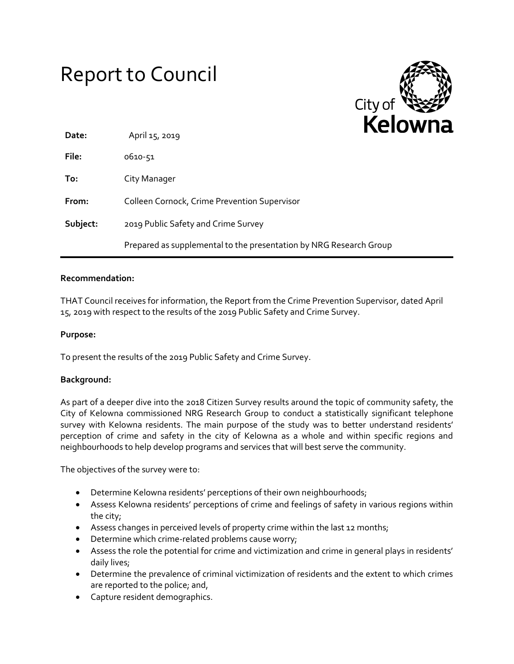# Report to Council



| Date:    | April 15, 2019                                                     |  |
|----------|--------------------------------------------------------------------|--|
| File:    | 0610-51                                                            |  |
| To:      | City Manager                                                       |  |
| From:    | Colleen Cornock, Crime Prevention Supervisor                       |  |
| Subject: | 2019 Public Safety and Crime Survey                                |  |
|          | Prepared as supplemental to the presentation by NRG Research Group |  |

### **Recommendation:**

THAT Council receives for information, the Report from the Crime Prevention Supervisor, dated April 15, 2019 with respect to the results of the 2019 Public Safety and Crime Survey.

## **Purpose:**

To present the results of the 2019 Public Safety and Crime Survey.

#### **Background:**

As part of a deeper dive into the 2018 Citizen Survey results around the topic of community safety, the City of Kelowna commissioned NRG Research Group to conduct a statistically significant telephone survey with Kelowna residents. The main purpose of the study was to better understand residents' perception of crime and safety in the city of Kelowna as a whole and within specific regions and neighbourhoods to help develop programs and services that will best serve the community.

The objectives of the survey were to:

- Determine Kelowna residents' perceptions of their own neighbourhoods;
- Assess Kelowna residents' perceptions of crime and feelings of safety in various regions within the city;
- Assess changes in perceived levels of property crime within the last 12 months;
- Determine which crime-related problems cause worry;
- Assess the role the potential for crime and victimization and crime in general plays in residents' daily lives;
- Determine the prevalence of criminal victimization of residents and the extent to which crimes are reported to the police; and,
- Capture resident demographics.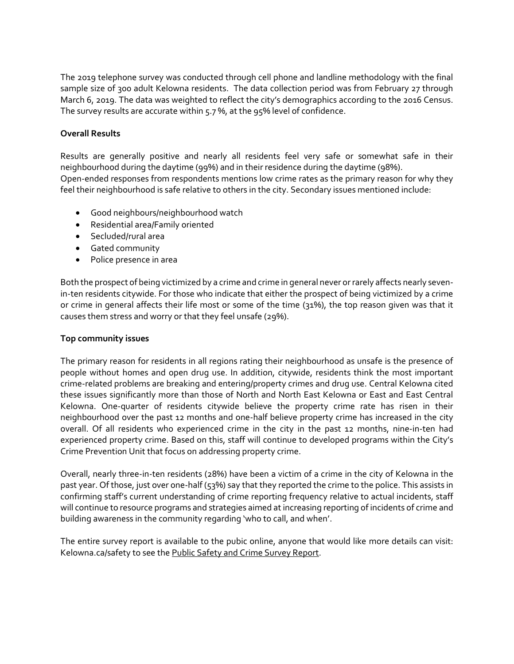The 2019 telephone survey was conducted through cell phone and landline methodology with the final sample size of 300 adult Kelowna residents. The data collection period was from February 27 through March 6, 2019. The data was weighted to reflect the city's demographics according to the 2016 Census. The survey results are accurate within 5.7 %, at the 95% level of confidence.

# **Overall Results**

Results are generally positive and nearly all residents feel very safe or somewhat safe in their neighbourhood during the daytime (99%) and in their residence during the daytime (98%). Open-ended responses from respondents mentions low crime rates as the primary reason for why they feel their neighbourhood is safe relative to others in the city. Secondary issues mentioned include:

- Good neighbours/neighbourhood watch
- Residential area/Family oriented
- Secluded/rural area
- Gated community
- Police presence in area

Both the prospect of being victimized by a crime and crime in general never or rarely affects nearly sevenin-ten residents citywide. For those who indicate that either the prospect of being victimized by a crime or crime in general affects their life most or some of the time (31%), the top reason given was that it causes them stress and worry or that they feel unsafe (29%).

## **Top community issues**

The primary reason for residents in all regions rating their neighbourhood as unsafe is the presence of people without homes and open drug use. In addition, citywide, residents think the most important crime-related problems are breaking and entering/property crimes and drug use. Central Kelowna cited these issues significantly more than those of North and North East Kelowna or East and East Central Kelowna. One-quarter of residents citywide believe the property crime rate has risen in their neighbourhood over the past 12 months and one-half believe property crime has increased in the city overall. Of all residents who experienced crime in the city in the past 12 months, nine-in-ten had experienced property crime. Based on this, staff will continue to developed programs within the City's Crime Prevention Unit that focus on addressing property crime.

Overall, nearly three-in-ten residents (28%) have been a victim of a crime in the city of Kelowna in the past year. Of those, just over one-half (53%) say that they reported the crime to the police. This assists in confirming staff's current understanding of crime reporting frequency relative to actual incidents, staff will continue to resource programs and strategies aimed at increasing reporting of incidents of crime and building awareness in the community regarding 'who to call, and when'.

The entire survey report is available to the pubic online, anyone that would like more details can visit: Kelowna.ca/safety to see the Public Safety and Crime Survey Report.